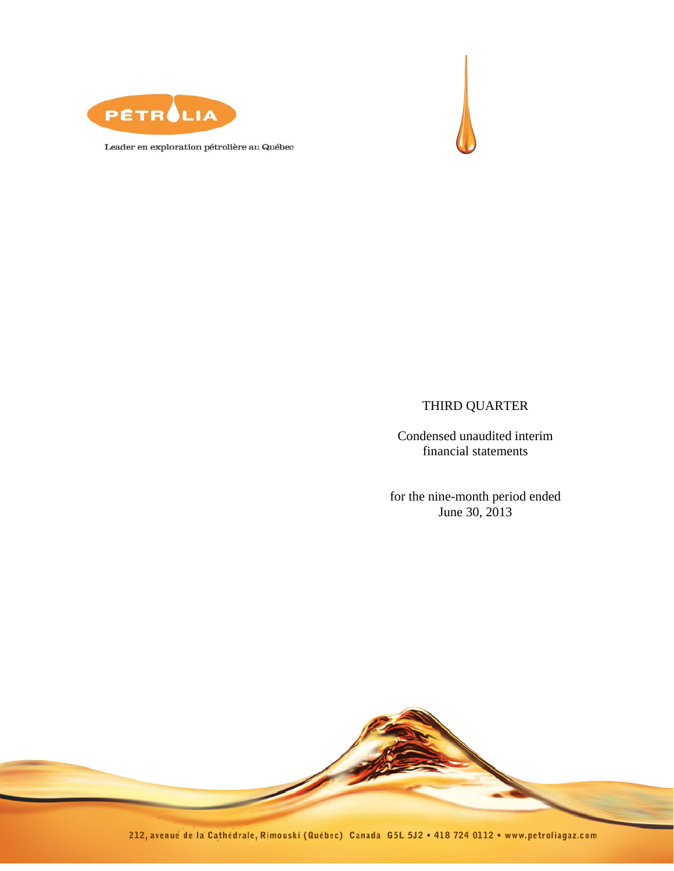



Leader en exploration pétrolière au Québec

# THIRD QUARTER

Condensed unaudited interim financial statements

for the nine-month period ended June 30, 2013

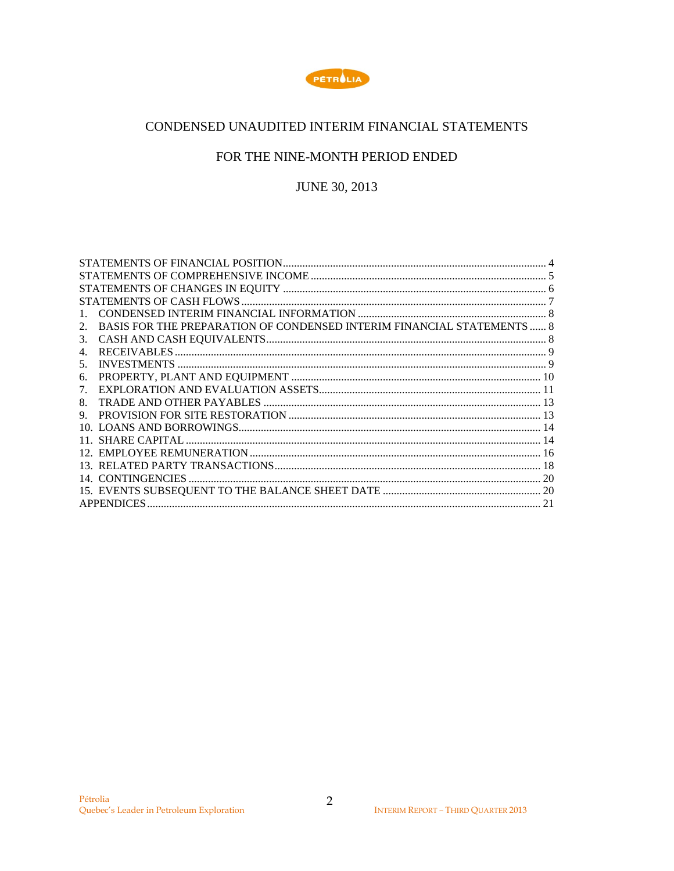

# CONDENSED UNAUDITED INTERIM FINANCIAL STATEMENTS

# FOR THE NINE-MONTH PERIOD ENDED

**JUNE 30, 2013** 

| 2. | BASIS FOR THE PREPARATION OF CONDENSED INTERIM FINANCIAL STATEMENTS  8 |  |
|----|------------------------------------------------------------------------|--|
| 3. |                                                                        |  |
| 4. |                                                                        |  |
| 5. |                                                                        |  |
| 6. |                                                                        |  |
| 7. |                                                                        |  |
| 8. |                                                                        |  |
| 9. |                                                                        |  |
|    |                                                                        |  |
|    |                                                                        |  |
|    |                                                                        |  |
|    |                                                                        |  |
|    |                                                                        |  |
|    |                                                                        |  |
|    | <b>APPENDICES</b>                                                      |  |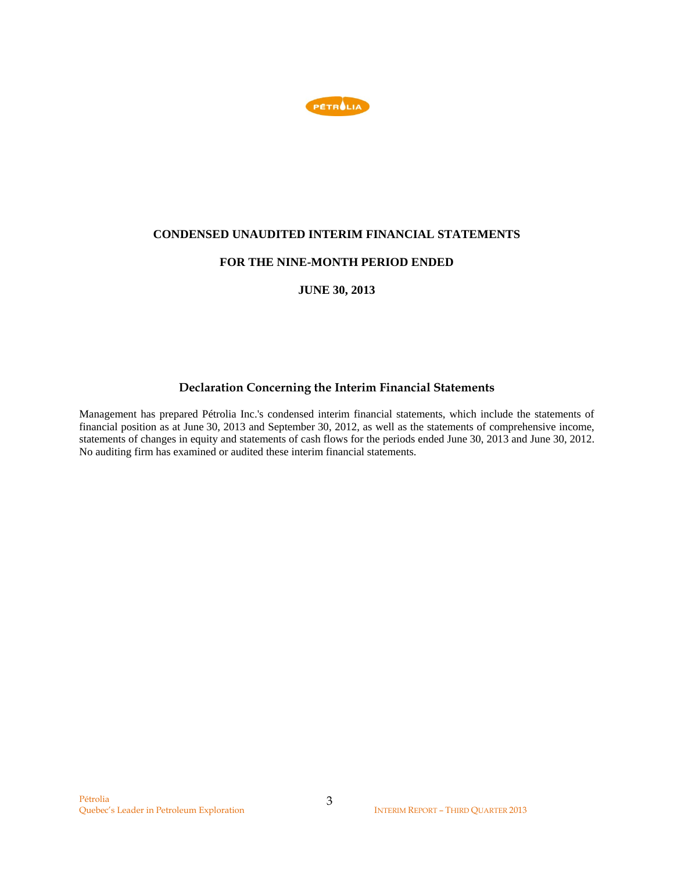

## **CONDENSED UNAUDITED INTERIM FINANCIAL STATEMENTS**

## **FOR THE NINE-MONTH PERIOD ENDED**

**JUNE 30, 2013** 

# **Declaration Concerning the Interim Financial Statements**

Management has prepared Pétrolia Inc.'s condensed interim financial statements, which include the statements of financial position as at June 30, 2013 and September 30, 2012, as well as the statements of comprehensive income, statements of changes in equity and statements of cash flows for the periods ended June 30, 2013 and June 30, 2012. No auditing firm has examined or audited these interim financial statements.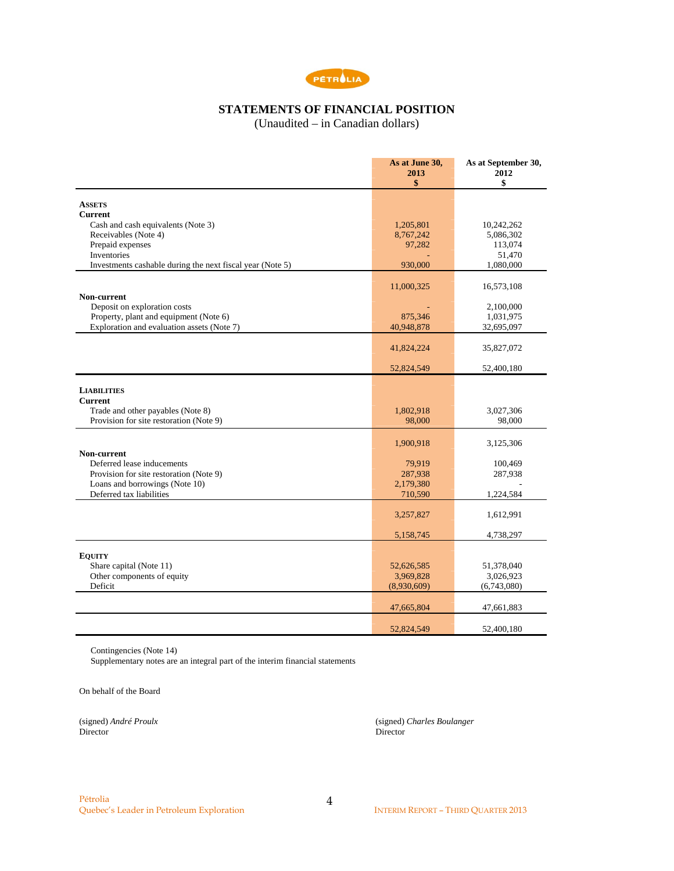

# **STATEMENTS OF FINANCIAL POSITION**

(Unaudited – in Canadian dollars)

|                                                           | As at June 30,<br>2013<br>\$ | As at September 30,<br>2012<br>\$ |
|-----------------------------------------------------------|------------------------------|-----------------------------------|
|                                                           |                              |                                   |
| <b>ASSETS</b>                                             |                              |                                   |
| <b>Current</b>                                            |                              |                                   |
| Cash and cash equivalents (Note 3)                        | 1,205,801                    | 10,242,262                        |
| Receivables (Note 4)                                      | 8,767,242                    | 5,086,302                         |
| Prepaid expenses                                          | 97,282                       | 113,074                           |
| Inventories                                               |                              | 51,470                            |
| Investments cashable during the next fiscal year (Note 5) | 930,000                      | 1,080,000                         |
|                                                           | 11,000,325                   | 16,573,108                        |
| Non-current                                               |                              |                                   |
| Deposit on exploration costs                              |                              | 2,100,000                         |
| Property, plant and equipment (Note 6)                    | 875,346                      | 1,031,975                         |
| Exploration and evaluation assets (Note 7)                | 40,948,878                   | 32,695,097                        |
|                                                           | 41,824,224                   | 35,827,072                        |
|                                                           | 52,824,549                   | 52,400,180                        |
|                                                           |                              |                                   |
| <b>LIABILITIES</b>                                        |                              |                                   |
| <b>Current</b>                                            |                              |                                   |
| Trade and other payables (Note 8)                         | 1,802,918                    | 3,027,306                         |
| Provision for site restoration (Note 9)                   | 98,000                       | 98,000                            |
|                                                           | 1,900,918                    | 3,125,306                         |
| Non-current                                               |                              |                                   |
| Deferred lease inducements                                | 79,919                       | 100,469                           |
| Provision for site restoration (Note 9)                   | 287,938                      | 287,938                           |
| Loans and borrowings (Note 10)                            | 2,179,380                    |                                   |
| Deferred tax liabilities                                  | 710,590                      | 1,224,584                         |
|                                                           | 3,257,827                    | 1,612,991                         |
|                                                           | 5,158,745                    | 4,738,297                         |
|                                                           |                              |                                   |
| <b>EQUITY</b>                                             |                              |                                   |
| Share capital (Note 11)                                   | 52,626,585                   | 51,378,040                        |
| Other components of equity<br>Deficit                     | 3,969,828                    | 3,026,923                         |
|                                                           | (8,930,609)                  | (6,743,080)                       |
|                                                           | 47,665,804                   | 47,661,883                        |
|                                                           | 52,824,549                   | 52,400,180                        |

Contingencies (Note 14)

Supplementary notes are an integral part of the interim financial statements

On behalf of the Board

Director Director

(signed) *André Proulx* (signed) *Charles Boulanger*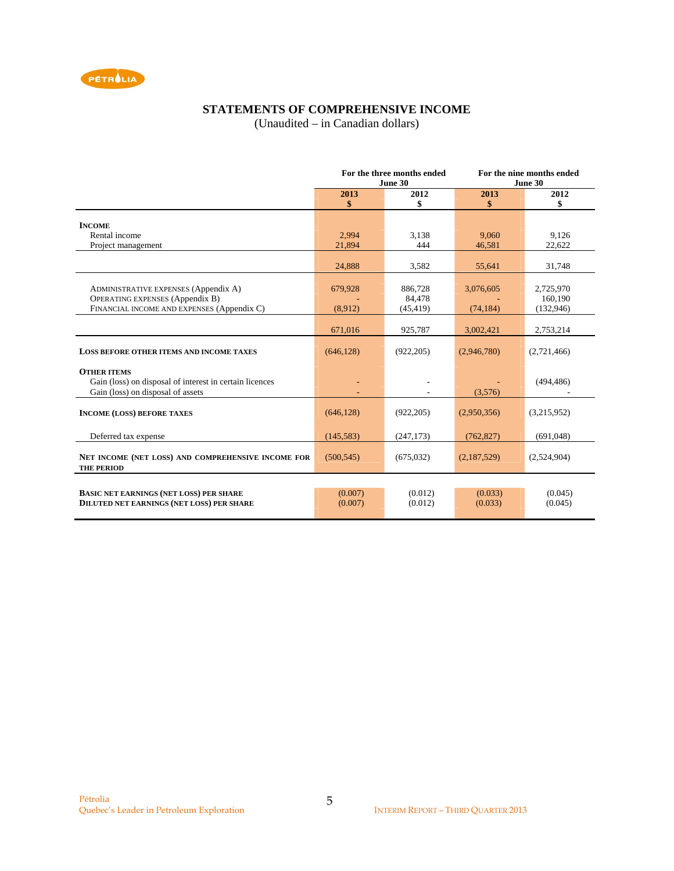

# **STATEMENTS OF COMPREHENSIVE INCOME**

(Unaudited – in Canadian dollars)

|                                                         | For the three months ended |            |             | For the nine months ended |
|---------------------------------------------------------|----------------------------|------------|-------------|---------------------------|
|                                                         |                            | June 30    |             | June 30                   |
|                                                         | 2013                       | 2012       | 2013        | 2012                      |
|                                                         | \$                         | \$         | \$          | \$                        |
|                                                         |                            |            |             |                           |
| <b>INCOME</b>                                           |                            |            |             |                           |
| Rental income                                           | 2.994                      | 3,138      | 9.060       | 9,126                     |
| Project management                                      | 21,894                     | 444        | 46,581      | 22,622                    |
|                                                         |                            |            |             |                           |
|                                                         | 24,888                     | 3,582      | 55,641      | 31,748                    |
|                                                         |                            |            |             |                           |
| <b>ADMINISTRATIVE EXPENSES (Appendix A)</b>             | 679,928                    | 886,728    | 3,076,605   | 2,725,970                 |
| <b>OPERATING EXPENSES (Appendix B)</b>                  |                            | 84,478     |             | 160,190                   |
| FINANCIAL INCOME AND EXPENSES (Appendix C)              | (8,912)                    | (45, 419)  | (74, 184)   | (132, 946)                |
|                                                         |                            |            |             |                           |
|                                                         | 671,016                    | 925,787    | 3,002,421   | 2,753,214                 |
|                                                         |                            |            |             |                           |
| LOSS BEFORE OTHER ITEMS AND INCOME TAXES                | (646, 128)                 | (922, 205) | (2,946,780) | (2,721,466)               |
|                                                         |                            |            |             |                           |
| <b>OTHER ITEMS</b>                                      |                            |            |             |                           |
| Gain (loss) on disposal of interest in certain licences |                            |            |             | (494, 486)                |
| Gain (loss) on disposal of assets                       |                            |            | (3,576)     |                           |
|                                                         |                            |            |             |                           |
| <b>INCOME (LOSS) BEFORE TAXES</b>                       | (646, 128)                 | (922, 205) | (2,950,356) | (3,215,952)               |
|                                                         |                            |            |             |                           |
| Deferred tax expense                                    | (145, 583)                 | (247, 173) | (762, 827)  | (691,048)                 |
|                                                         |                            |            |             |                           |
| NET INCOME (NET LOSS) AND COMPREHENSIVE INCOME FOR      | (500, 545)                 | (675, 032) | (2,187,529) | (2,524,904)               |
| <b>THE PERIOD</b>                                       |                            |            |             |                           |
|                                                         |                            |            |             |                           |
| <b>BASIC NET EARNINGS (NET LOSS) PER SHARE</b>          | (0.007)                    | (0.012)    | (0.033)     | (0.045)                   |
| <b>DILUTED NET EARNINGS (NET LOSS) PER SHARE</b>        | (0.007)                    | (0.012)    | (0.033)     | (0.045)                   |
|                                                         |                            |            |             |                           |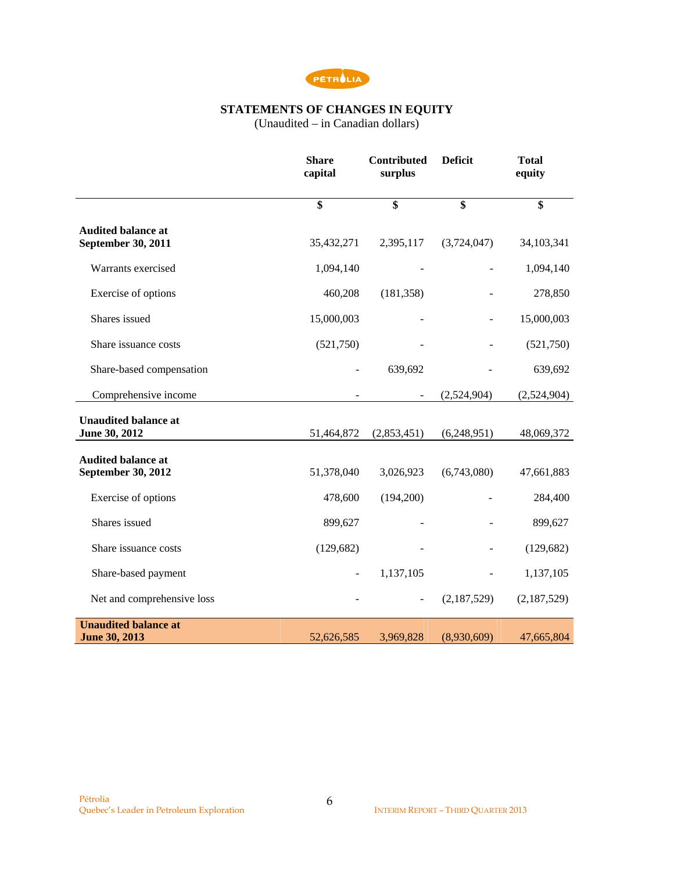

## **STATEMENTS OF CHANGES IN EQUITY**

(Unaudited – in Canadian dollars)

|                                                     | <b>Share</b><br>capital | <b>Contributed</b><br>surplus | <b>Deficit</b>           | <b>Total</b><br>equity |
|-----------------------------------------------------|-------------------------|-------------------------------|--------------------------|------------------------|
|                                                     | \$                      | \$                            | \$                       | \$                     |
| <b>Audited balance at</b><br>September 30, 2011     | 35,432,271              | 2,395,117                     | (3,724,047)              | 34,103,341             |
| Warrants exercised                                  | 1,094,140               |                               |                          | 1,094,140              |
| Exercise of options                                 | 460,208                 | (181, 358)                    |                          | 278,850                |
| Shares issued                                       | 15,000,003              |                               | $\overline{\phantom{0}}$ | 15,000,003             |
| Share issuance costs                                | (521,750)               |                               |                          | (521,750)              |
| Share-based compensation                            |                         | 639,692                       |                          | 639,692                |
| Comprehensive income                                |                         |                               | (2,524,904)              | (2,524,904)            |
| <b>Unaudited balance at</b><br>June 30, 2012        | 51,464,872              | (2,853,451)                   | (6,248,951)              | 48,069,372             |
| <b>Audited balance at</b>                           |                         |                               |                          |                        |
| September 30, 2012                                  | 51,378,040              | 3,026,923                     | (6,743,080)              | 47,661,883             |
| Exercise of options                                 | 478,600                 | (194,200)                     |                          | 284,400                |
| Shares issued                                       | 899,627                 |                               |                          | 899,627                |
| Share issuance costs                                | (129, 682)              |                               |                          | (129, 682)             |
| Share-based payment                                 | $\frac{1}{2}$           | 1,137,105                     | $\overline{\phantom{a}}$ | 1,137,105              |
| Net and comprehensive loss                          |                         | $\blacksquare$                | (2,187,529)              | (2,187,529)            |
| <b>Unaudited balance at</b><br><b>June 30, 2013</b> | 52,626,585              | 3,969,828                     | (8,930,609)              | 47,665,804             |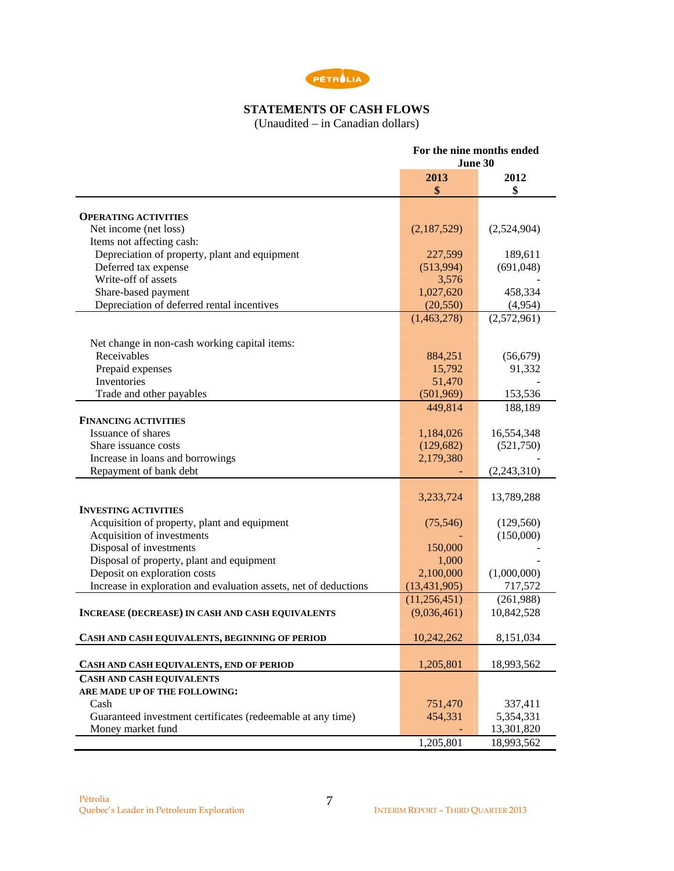

#### **STATEMENTS OF CASH FLOWS**

(Unaudited – in Canadian dollars)

|                                                                  | For the nine months ended<br>June 30 |                          |  |
|------------------------------------------------------------------|--------------------------------------|--------------------------|--|
|                                                                  | 2013<br>\$                           | 2012<br>\$               |  |
| <b>OPERATING ACTIVITIES</b>                                      |                                      |                          |  |
| Net income (net loss)                                            | (2,187,529)                          | (2,524,904)              |  |
| Items not affecting cash:                                        |                                      |                          |  |
| Depreciation of property, plant and equipment                    | 227,599                              | 189,611                  |  |
| Deferred tax expense                                             | (513,994)                            | (691,048)                |  |
| Write-off of assets                                              | 3,576                                |                          |  |
| Share-based payment                                              | 1,027,620                            | 458,334                  |  |
| Depreciation of deferred rental incentives                       | (20, 550)                            | (4,954)                  |  |
|                                                                  | (1,463,278)                          | (2,572,961)              |  |
| Net change in non-cash working capital items:                    |                                      |                          |  |
| Receivables                                                      | 884,251                              | (56, 679)                |  |
| Prepaid expenses                                                 | 15,792                               | 91,332                   |  |
| Inventories                                                      | 51,470                               |                          |  |
| Trade and other payables                                         | (501,969)                            | 153,536                  |  |
|                                                                  | 449,814                              | 188,189                  |  |
| <b>FINANCING ACTIVITIES</b>                                      |                                      |                          |  |
| Issuance of shares                                               | 1,184,026                            | 16,554,348               |  |
| Share issuance costs                                             | (129, 682)                           | (521,750)                |  |
| Increase in loans and borrowings                                 | 2,179,380                            |                          |  |
| Repayment of bank debt                                           |                                      | (2,243,310)              |  |
|                                                                  |                                      |                          |  |
|                                                                  | 3,233,724                            | 13,789,288               |  |
| <b>INVESTING ACTIVITIES</b>                                      |                                      |                          |  |
| Acquisition of property, plant and equipment                     | (75, 546)                            | (129, 560)               |  |
| Acquisition of investments                                       |                                      | (150,000)                |  |
| Disposal of investments                                          | 150,000                              |                          |  |
| Disposal of property, plant and equipment                        | 1,000                                |                          |  |
| Deposit on exploration costs                                     | 2,100,000                            | (1,000,000)              |  |
| Increase in exploration and evaluation assets, net of deductions | (13, 431, 905)                       | 717,572                  |  |
|                                                                  | (11,256,451)                         | (261,988)                |  |
| <b>INCREASE (DECREASE) IN CASH AND CASH EQUIVALENTS</b>          | (9,036,461)                          | 10,842,528               |  |
| CASH AND CASH EQUIVALENTS, BEGINNING OF PERIOD                   | 10,242,262                           | 8,151,034                |  |
| CASH AND CASH EQUIVALENTS, END OF PERIOD                         | 1,205,801                            | 18,993,562               |  |
|                                                                  |                                      |                          |  |
| <b>CASH AND CASH EQUIVALENTS</b>                                 |                                      |                          |  |
| ARE MADE UP OF THE FOLLOWING:<br>Cash                            |                                      |                          |  |
| Guaranteed investment certificates (redeemable at any time)      | 751,470<br>454,331                   | 337,411                  |  |
| Money market fund                                                |                                      | 5,354,331                |  |
|                                                                  |                                      | 13,301,820<br>18,993,562 |  |
|                                                                  | 1,205,801                            |                          |  |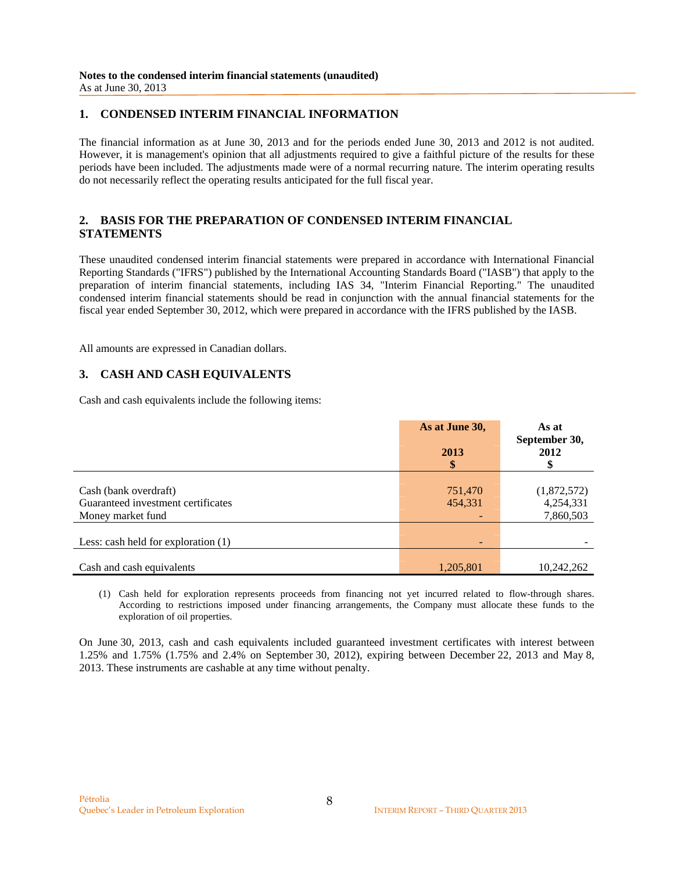## **1. CONDENSED INTERIM FINANCIAL INFORMATION**

The financial information as at June 30, 2013 and for the periods ended June 30, 2013 and 2012 is not audited. However, it is management's opinion that all adjustments required to give a faithful picture of the results for these periods have been included. The adjustments made were of a normal recurring nature. The interim operating results do not necessarily reflect the operating results anticipated for the full fiscal year.

## **2. BASIS FOR THE PREPARATION OF CONDENSED INTERIM FINANCIAL STATEMENTS**

These unaudited condensed interim financial statements were prepared in accordance with International Financial Reporting Standards ("IFRS") published by the International Accounting Standards Board ("IASB") that apply to the preparation of interim financial statements, including IAS 34, "Interim Financial Reporting." The unaudited condensed interim financial statements should be read in conjunction with the annual financial statements for the fiscal year ended September 30, 2012, which were prepared in accordance with the IFRS published by the IASB.

All amounts are expressed in Canadian dollars.

## **3. CASH AND CASH EQUIVALENTS**

Cash and cash equivalents include the following items:

|                                                                                  | As at June 30,     | As at<br>September 30,                |
|----------------------------------------------------------------------------------|--------------------|---------------------------------------|
|                                                                                  | 2013               | 2012                                  |
|                                                                                  | \$                 |                                       |
| Cash (bank overdraft)<br>Guaranteed investment certificates<br>Money market fund | 751,470<br>454,331 | (1,872,572)<br>4,254,331<br>7,860,503 |
| Less: cash held for exploration $(1)$                                            | ۰                  |                                       |
| Cash and cash equivalents                                                        | 1,205,801          | 10,242,262                            |

(1) Cash held for exploration represents proceeds from financing not yet incurred related to flow-through shares. According to restrictions imposed under financing arrangements, the Company must allocate these funds to the exploration of oil properties.

On June 30, 2013, cash and cash equivalents included guaranteed investment certificates with interest between 1.25% and 1.75% (1.75% and 2.4% on September 30, 2012), expiring between December 22, 2013 and May 8, 2013. These instruments are cashable at any time without penalty.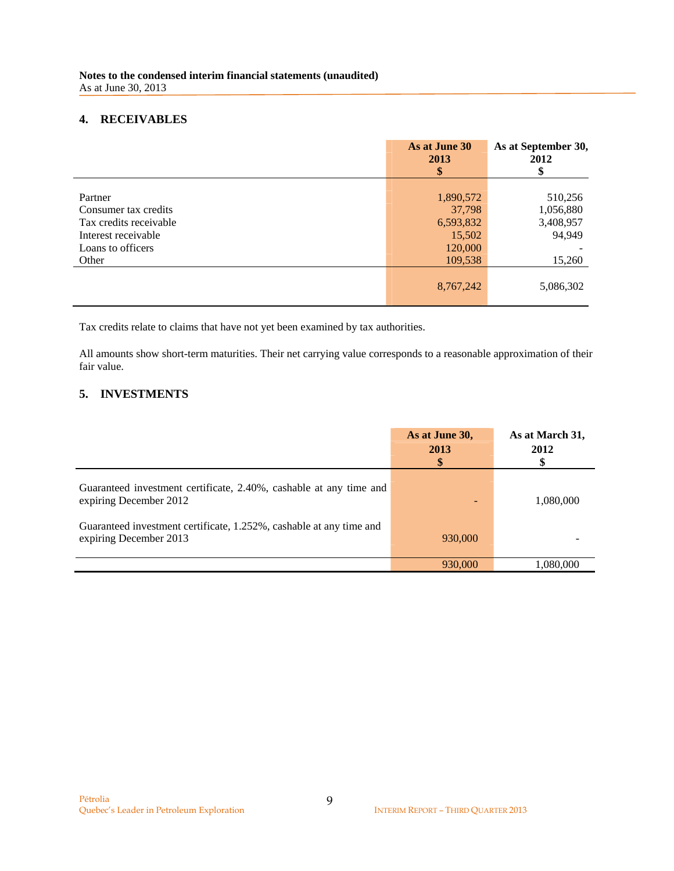## **4. RECEIVABLES**

|                        | As at June 30<br>2013 | As at September 30,<br>2012 |
|------------------------|-----------------------|-----------------------------|
|                        | \$                    | \$                          |
|                        |                       |                             |
| Partner                | 1,890,572             | 510,256                     |
| Consumer tax credits   | 37,798                | 1,056,880                   |
| Tax credits receivable | 6,593,832             | 3,408,957                   |
| Interest receivable    | 15,502                | 94,949                      |
| Loans to officers      | 120,000               |                             |
| Other                  | 109,538               | 15,260                      |
|                        |                       |                             |
|                        | 8,767,242             | 5,086,302                   |
|                        |                       |                             |

Tax credits relate to claims that have not yet been examined by tax authorities.

All amounts show short-term maturities. Their net carrying value corresponds to a reasonable approximation of their fair value.

# **5. INVESTMENTS**

|                                                                                               | As at June 30,<br>2013<br>\$ | As at March 31,<br>2012 |
|-----------------------------------------------------------------------------------------------|------------------------------|-------------------------|
| Guaranteed investment certificate, 2.40%, cashable at any time and<br>expiring December 2012  |                              | 1,080,000               |
| Guaranteed investment certificate, 1.252%, cashable at any time and<br>expiring December 2013 | 930,000                      |                         |
|                                                                                               | 930,000                      | 1,080,000               |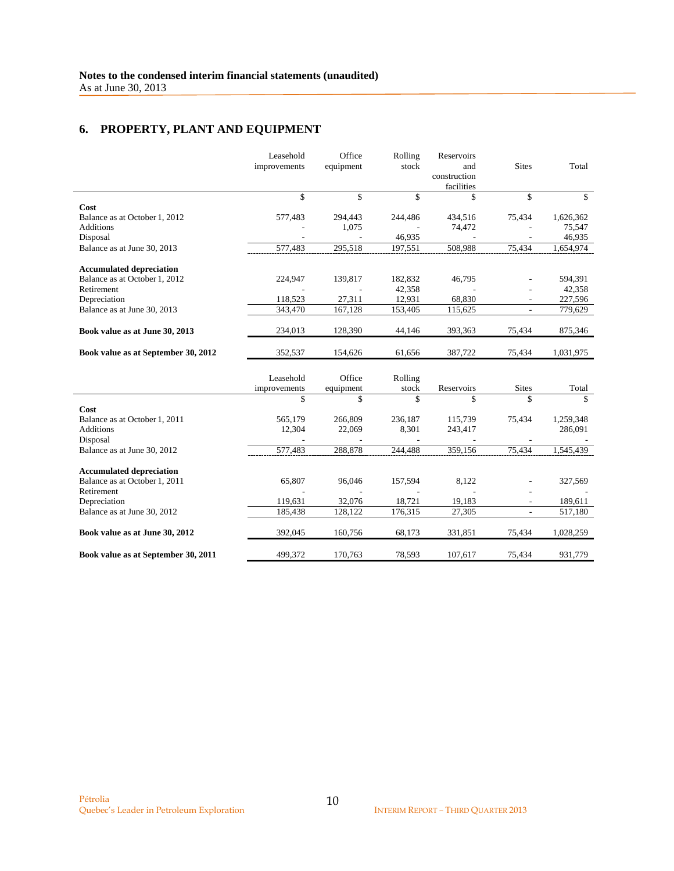# **6. PROPERTY, PLANT AND EQUIPMENT**

|                                             | Leasehold<br>improvements | Office<br>equipment | Rolling<br>stock | Reservoirs<br>and<br>construction<br>facilities | <b>Sites</b>   | Total     |
|---------------------------------------------|---------------------------|---------------------|------------------|-------------------------------------------------|----------------|-----------|
|                                             | \$                        | \$                  | \$               | \$                                              | \$             | \$        |
| Cost                                        |                           |                     |                  |                                                 |                |           |
| Balance as at October 1, 2012               | 577,483                   | 294,443             | 244,486          | 434,516                                         | 75,434         | 1,626,362 |
| <b>Additions</b>                            |                           | 1,075               |                  | 74,472                                          |                | 75,547    |
| Disposal                                    |                           |                     | 46,935           |                                                 |                | 46,935    |
| Balance as at June 30, 2013                 | 577,483                   | 295,518             | 197,551          | 508,988                                         | 75,434         | 1,654,974 |
|                                             |                           |                     |                  |                                                 |                |           |
| <b>Accumulated depreciation</b>             |                           |                     |                  |                                                 |                |           |
| Balance as at October 1, 2012               | 224,947                   | 139,817             | 182,832          | 46,795                                          |                | 594,391   |
| Retirement                                  |                           |                     | 42,358           |                                                 |                | 42,358    |
| Depreciation                                | 118,523                   | 27,311              | 12,931           | 68,830                                          |                | 227,596   |
| Balance as at June 30, 2013                 | 343,470                   | 167,128             | 153,405          | 115,625                                         | $\overline{a}$ | 779,629   |
| Book value as at June 30, 2013              | 234,013                   | 128,390             | 44,146           | 393,363                                         | 75,434         | 875,346   |
| Book value as at September 30, 2012         | 352,537                   | 154,626             | 61,656           | 387,722                                         | 75,434         | 1,031,975 |
|                                             | Leasehold<br>improvements | Office<br>equipment | Rolling<br>stock | Reservoirs                                      | <b>Sites</b>   | Total     |
|                                             | \$                        | \$                  | \$               | \$                                              | \$             | \$        |
| Cost                                        |                           |                     |                  |                                                 |                |           |
| Balance as at October 1, 2011               | 565,179                   | 266,809             | 236,187          | 115,739                                         | 75,434         | 1,259,348 |
| <b>Additions</b>                            | 12,304                    | 22,069              | 8,301            | 243,417                                         |                | 286,091   |
| Disposal                                    |                           |                     |                  |                                                 |                |           |
| Balance as at June 30, 2012                 | 577,483                   | 288,878             | 244,488          | 359,156                                         | 75,434         | 1,545,439 |
|                                             |                           |                     |                  |                                                 |                |           |
| <b>Accumulated depreciation</b>             |                           |                     |                  |                                                 |                |           |
| Balance as at October 1, 2011<br>Retirement | 65,807                    | 96,046              | 157,594          | 8,122                                           |                | 327,569   |
|                                             |                           | 32,076              | 18,721           | 19,183                                          |                |           |
| Depreciation                                | 119,631                   |                     |                  |                                                 | ٠              | 189,611   |
| Balance as at June 30, 2012                 | 185,438                   | 128,122             | 176,315          | 27,305                                          | $\overline{a}$ | 517,180   |
| Book value as at June 30, 2012              | 392,045                   | 160,756             | 68,173           | 331,851                                         | 75,434         | 1,028,259 |

| Book value as at September 30, 2011 | 499.372 | 170.763 | 78.593 107.617 | 75,434 931,779 |  |
|-------------------------------------|---------|---------|----------------|----------------|--|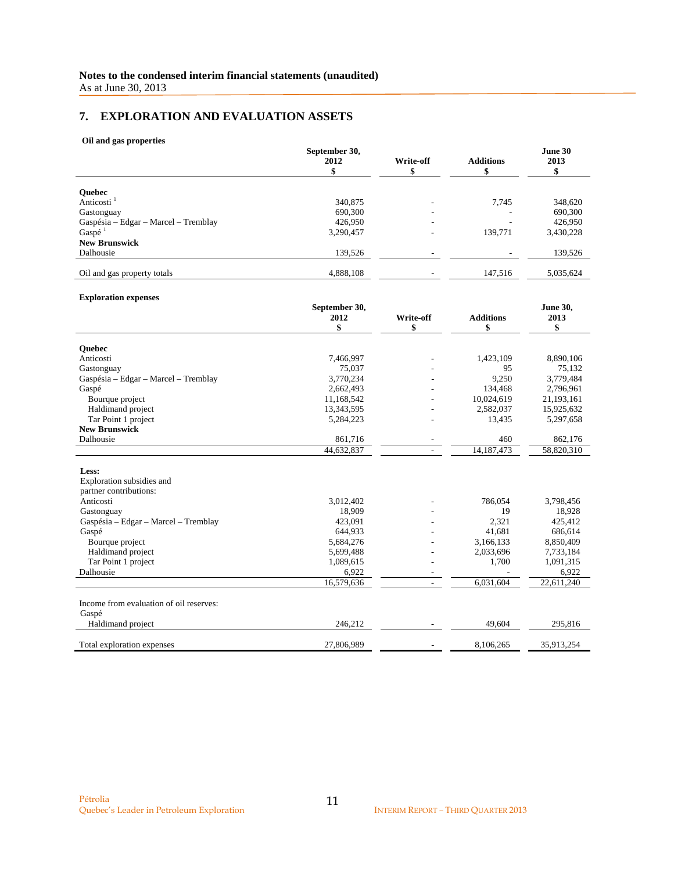# **7. EXPLORATION AND EVALUATION ASSETS**

#### **Oil and gas properties**

|                                      | September 30,<br>2012 | Write-off                | <b>Additions</b> | June 30<br>2013 |
|--------------------------------------|-----------------------|--------------------------|------------------|-----------------|
|                                      |                       |                          |                  |                 |
| <b>Ouebec</b>                        |                       |                          |                  |                 |
| Anticosti <sup>1</sup>               | 340,875               |                          | 7.745            | 348,620         |
| Gastonguay                           | 690,300               |                          |                  | 690,300         |
| Gaspésia - Edgar - Marcel - Tremblay | 426,950               | $\overline{\phantom{a}}$ | ۰                | 426,950         |
| Gaspé $1$                            | 3,290,457             |                          | 139,771          | 3,430,228       |
| <b>New Brunswick</b>                 |                       |                          |                  |                 |
| Dalhousie                            | 139,526               |                          |                  | 139,526         |
| Oil and gas property totals          | 4,888,108             |                          | 147.516          | 5,035,624       |

#### **Exploration expenses**

|                                         | September 30, |           |                  | <b>June 30,</b> |
|-----------------------------------------|---------------|-----------|------------------|-----------------|
|                                         | 2012          | Write-off | <b>Additions</b> | 2013            |
|                                         | \$            | \$        | \$               | \$              |
|                                         |               |           |                  |                 |
| <b>Ouebec</b>                           |               |           |                  |                 |
| Anticosti                               | 7,466,997     |           | 1,423,109        | 8,890,106       |
| Gastonguay                              | 75,037        |           | 95               | 75,132          |
| Gaspésia – Edgar – Marcel – Tremblay    | 3,770,234     |           | 9,250            | 3,779,484       |
| Gaspé                                   | 2,662,493     |           | 134,468          | 2,796,961       |
| Bourque project                         | 11,168,542    |           | 10,024,619       | 21,193,161      |
| Haldimand project                       | 13,343,595    |           | 2,582,037        | 15,925,632      |
| Tar Point 1 project                     | 5,284,223     |           | 13,435           | 5,297,658       |
| <b>New Brunswick</b>                    |               |           |                  |                 |
| Dalhousie                               | 861,716       |           | 460              | 862,176         |
|                                         | 44,632,837    |           | 14, 187, 473     | 58,820,310      |
|                                         |               |           |                  |                 |
| Less:                                   |               |           |                  |                 |
| Exploration subsidies and               |               |           |                  |                 |
| partner contributions:                  |               |           |                  |                 |
| Anticosti                               | 3,012,402     |           | 786,054          | 3,798,456       |
| Gastonguay                              | 18,909        |           | 19               | 18,928          |
| Gaspésia – Edgar – Marcel – Tremblay    | 423,091       |           | 2,321            | 425,412         |
| Gaspé                                   | 644,933       |           | 41,681           | 686,614         |
| Bourque project                         | 5,684,276     |           | 3,166,133        | 8,850,409       |
| Haldimand project                       | 5,699,488     |           | 2,033,696        | 7,733,184       |
| Tar Point 1 project                     | 1,089,615     |           | 1,700            | 1,091,315       |
| Dalhousie                               | 6,922         |           |                  | 6,922           |
|                                         | 16,579,636    |           | 6.031.604        | 22,611,240      |
| Income from evaluation of oil reserves: |               |           |                  |                 |
| Gaspé                                   |               |           |                  |                 |
| Haldimand project                       | 246,212       |           | 49,604           | 295,816         |
|                                         |               |           |                  |                 |
| Total exploration expenses              | 27,806,989    |           | 8,106,265        | 35,913,254      |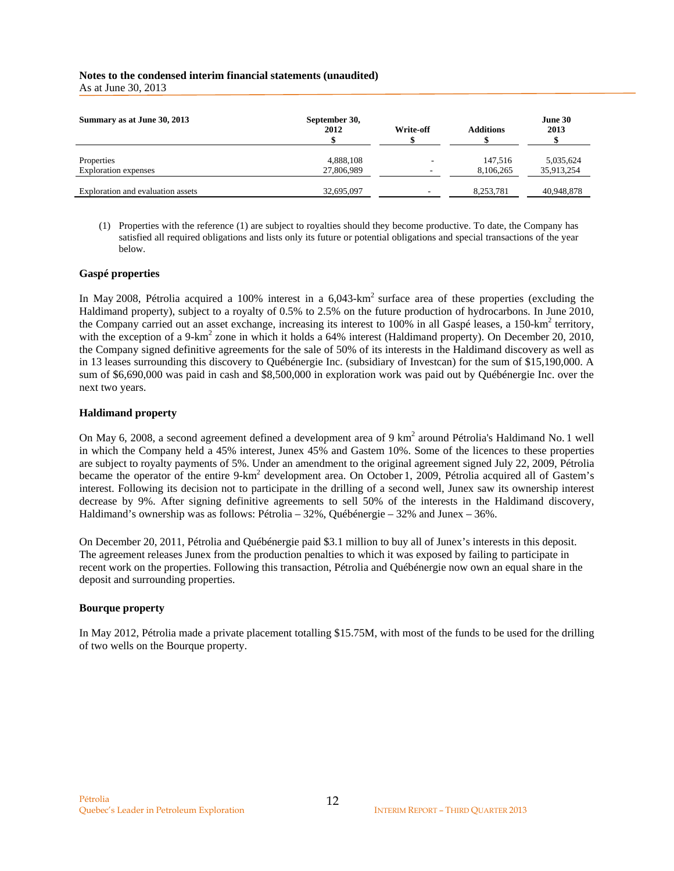# **Notes to the condensed interim financial statements (unaudited)**

As at June 30, 2013

| Summary as at June 30, 2013       | September 30,<br>2012 | Write-off | <b>Additions</b> | June 30<br>2013 |
|-----------------------------------|-----------------------|-----------|------------------|-----------------|
| Properties                        | 4,888,108             |           | 147.516          | 5,035,624       |
| <b>Exploration</b> expenses       | 27,806,989            | -         | 8,106,265        | 35,913,254      |
| Exploration and evaluation assets | 32,695,097            |           | 8,253,781        | 40,948,878      |

(1) Properties with the reference (1) are subject to royalties should they become productive. To date, the Company has satisfied all required obligations and lists only its future or potential obligations and special transactions of the year below.

#### **Gaspé properties**

In May 2008, Pétrolia acquired a 100% interest in a  $6.043$ -km<sup>2</sup> surface area of these properties (excluding the Haldimand property), subject to a royalty of 0.5% to 2.5% on the future production of hydrocarbons. In June 2010, the Company carried out an asset exchange, increasing its interest to 100% in all Gaspé leases, a 150-km<sup>2</sup> territory, with the exception of a 9-km<sup>2</sup> zone in which it holds a 64% interest (Haldimand property). On December 20, 2010, the Company signed definitive agreements for the sale of 50% of its interests in the Haldimand discovery as well as in 13 leases surrounding this discovery to Québénergie Inc. (subsidiary of Investcan) for the sum of \$15,190,000. A sum of \$6,690,000 was paid in cash and \$8,500,000 in exploration work was paid out by Québénergie Inc. over the next two years.

#### **Haldimand property**

On May 6, 2008, a second agreement defined a development area of 9 km<sup>2</sup> around Pétrolia's Haldimand No. 1 well in which the Company held a 45% interest, Junex 45% and Gastem 10%. Some of the licences to these properties are subject to royalty payments of 5%. Under an amendment to the original agreement signed July 22, 2009, Pétrolia became the operator of the entire 9-km<sup>2</sup> development area. On October 1, 2009, Pétrolia acquired all of Gastem's interest. Following its decision not to participate in the drilling of a second well, Junex saw its ownership interest decrease by 9%. After signing definitive agreements to sell 50% of the interests in the Haldimand discovery, Haldimand's ownership was as follows: Pétrolia – 32%, Québénergie – 32% and Junex – 36%.

On December 20, 2011, Pétrolia and Québénergie paid \$3.1 million to buy all of Junex's interests in this deposit. The agreement releases Junex from the production penalties to which it was exposed by failing to participate in recent work on the properties. Following this transaction, Pétrolia and Québénergie now own an equal share in the deposit and surrounding properties.

## **Bourque property**

In May 2012, Pétrolia made a private placement totalling \$15.75M, with most of the funds to be used for the drilling of two wells on the Bourque property.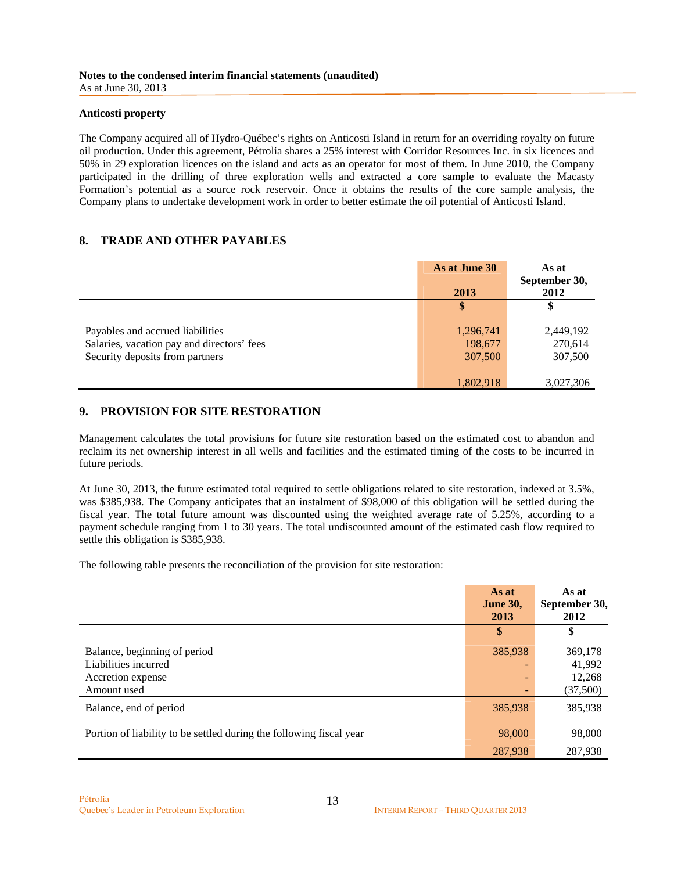#### **Anticosti property**

The Company acquired all of Hydro-Québec's rights on Anticosti Island in return for an overriding royalty on future oil production. Under this agreement, Pétrolia shares a 25% interest with Corridor Resources Inc. in six licences and 50% in 29 exploration licences on the island and acts as an operator for most of them. In June 2010, the Company participated in the drilling of three exploration wells and extracted a core sample to evaluate the Macasty Formation's potential as a source rock reservoir. Once it obtains the results of the core sample analysis, the Company plans to undertake development work in order to better estimate the oil potential of Anticosti Island.

## **8. TRADE AND OTHER PAYABLES**

|                                            | As at June 30 | As at         |
|--------------------------------------------|---------------|---------------|
|                                            |               | September 30, |
|                                            | 2013          | 2012          |
|                                            |               |               |
|                                            |               |               |
| Payables and accrued liabilities           | 1,296,741     | 2,449,192     |
| Salaries, vacation pay and directors' fees | 198,677       | 270,614       |
| Security deposits from partners            | 307,500       | 307,500       |
|                                            |               |               |
|                                            | 1,802,918     | 3,027,306     |

# **9. PROVISION FOR SITE RESTORATION**

Management calculates the total provisions for future site restoration based on the estimated cost to abandon and reclaim its net ownership interest in all wells and facilities and the estimated timing of the costs to be incurred in future periods.

At June 30, 2013, the future estimated total required to settle obligations related to site restoration, indexed at 3.5%, was \$385,938. The Company anticipates that an instalment of \$98,000 of this obligation will be settled during the fiscal year. The total future amount was discounted using the weighted average rate of 5.25%, according to a payment schedule ranging from 1 to 30 years. The total undiscounted amount of the estimated cash flow required to settle this obligation is \$385,938.

The following table presents the reconciliation of the provision for site restoration:

| As at<br><b>June 30,</b><br>2013 | As at<br>September 30,<br>2012          |
|----------------------------------|-----------------------------------------|
| \$                               | \$                                      |
| 385,938                          | 369,178<br>41,992<br>12,268<br>(37,500) |
| 385,938                          | 385,938                                 |
| 98,000                           | 98,000<br>287,938                       |
|                                  | 287,938                                 |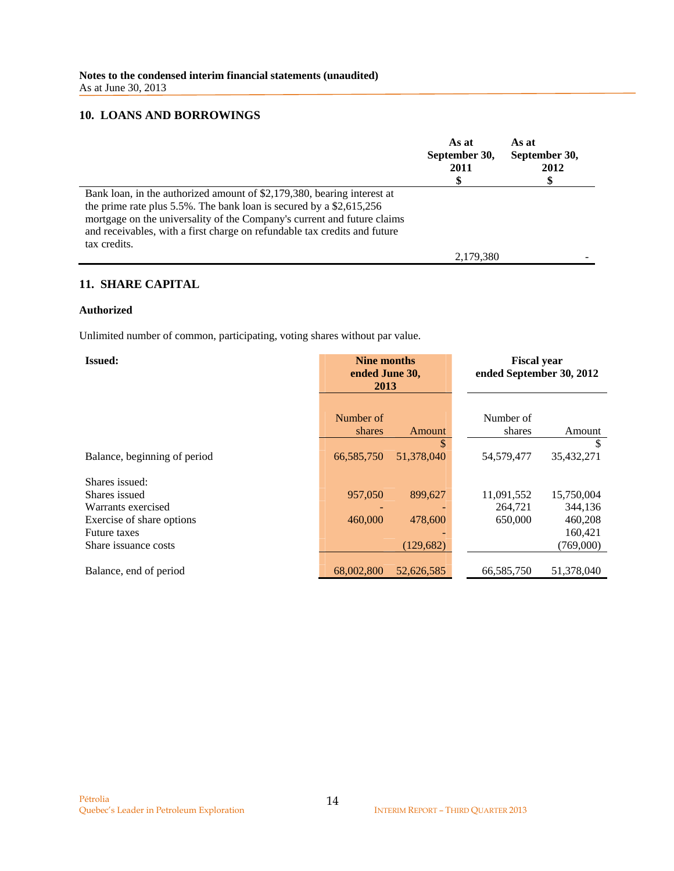## **10. LOANS AND BORROWINGS**

|                                                                                                                                                                                                                                                                                                                            | As at<br>September 30,<br>2011 | As at<br>September 30,<br>2012 |
|----------------------------------------------------------------------------------------------------------------------------------------------------------------------------------------------------------------------------------------------------------------------------------------------------------------------------|--------------------------------|--------------------------------|
| Bank loan, in the authorized amount of \$2,179,380, bearing interest at<br>the prime rate plus $5.5\%$ . The bank loan is secured by a \$2,615,256<br>mortgage on the universality of the Company's current and future claims<br>and receivables, with a first charge on refundable tax credits and future<br>tax credits. |                                |                                |
|                                                                                                                                                                                                                                                                                                                            | 2,179,380                      |                                |

# **11. SHARE CAPITAL**

#### **Authorized**

Unlimited number of common, participating, voting shares without par value.

| <b>Issued:</b>               | Nine months<br>ended June 30,<br>2013 |            | <b>Fiscal year</b><br>ended September 30, 2012 |            |
|------------------------------|---------------------------------------|------------|------------------------------------------------|------------|
|                              |                                       |            |                                                |            |
|                              | Number of<br>shares                   | Amount     | Number of<br>shares                            | Amount     |
|                              |                                       | \$         |                                                | S          |
| Balance, beginning of period | 66,585,750                            | 51,378,040 | 54,579,477                                     | 35,432,271 |
| Shares issued:               |                                       |            |                                                |            |
| Shares issued                | 957,050                               | 899,627    | 11,091,552                                     | 15,750,004 |
| Warrants exercised           |                                       |            | 264,721                                        | 344,136    |
| Exercise of share options    | 460,000                               | 478,600    | 650,000                                        | 460,208    |
| <b>Future taxes</b>          |                                       |            |                                                | 160,421    |
| Share issuance costs         |                                       | (129, 682) |                                                | (769,000)  |
|                              |                                       |            |                                                |            |
| Balance, end of period       | 68,002,800                            | 52,626,585 | 66,585,750                                     | 51,378,040 |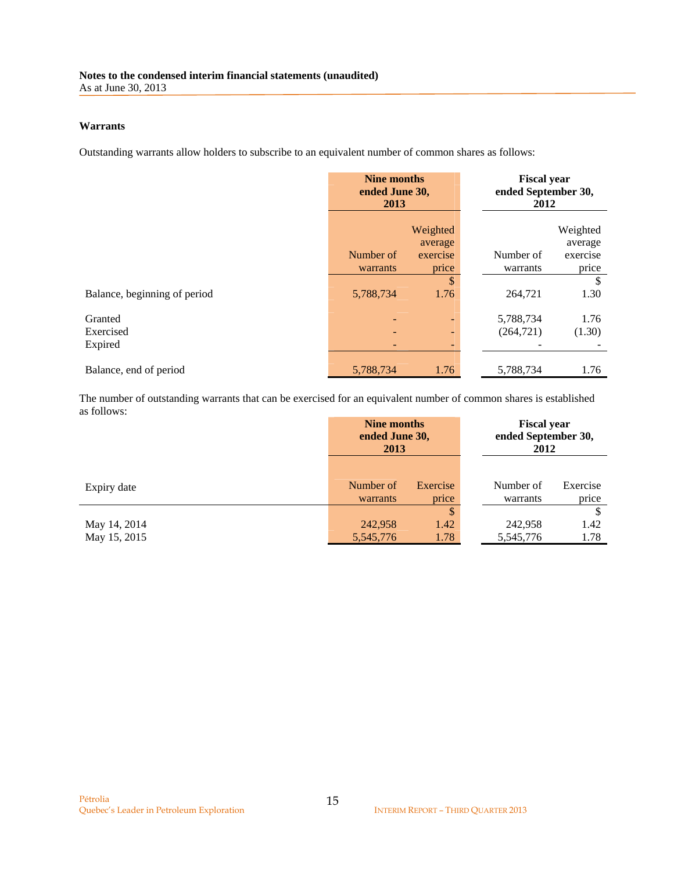#### **Warrants**

Outstanding warrants allow holders to subscribe to an equivalent number of common shares as follows:

|                              | <b>Nine months</b><br>ended June 30,<br>2013 |                     | <b>Fiscal year</b><br>ended September 30,<br>2012 |                     |
|------------------------------|----------------------------------------------|---------------------|---------------------------------------------------|---------------------|
|                              |                                              | Weighted<br>average |                                                   | Weighted<br>average |
|                              | Number of                                    | exercise            | Number of                                         | exercise            |
|                              | warrants                                     | price               | warrants                                          | price               |
|                              |                                              | \$                  |                                                   | S                   |
| Balance, beginning of period | 5,788,734                                    | 1.76                | 264,721                                           | 1.30                |
|                              |                                              |                     |                                                   |                     |
| Granted                      |                                              | ٠                   | 5,788,734                                         | 1.76                |
| Exercised                    |                                              | ٠                   | (264, 721)                                        | (1.30)              |
| Expired                      |                                              | ٠                   |                                                   |                     |
| Balance, end of period       | 5,788,734                                    | 1.76                | 5,788,734                                         | 1.76                |

The number of outstanding warrants that can be exercised for an equivalent number of common shares is established as follows:

|                              | <b>Nine months</b><br>ended June 30,<br>2013 |                    |                       |                   | ended September 30, | <b>Fiscal year</b><br>2012 |
|------------------------------|----------------------------------------------|--------------------|-----------------------|-------------------|---------------------|----------------------------|
| Expiry date                  | Number of<br>warrants                        | Exercise<br>price  | Number of<br>warrants | Exercise<br>price |                     |                            |
| May 14, 2014<br>May 15, 2015 | 242,958<br>5, 545, 776                       | \$<br>1.42<br>1.78 | 242,958<br>5,545,776  | 1.42<br>1.78      |                     |                            |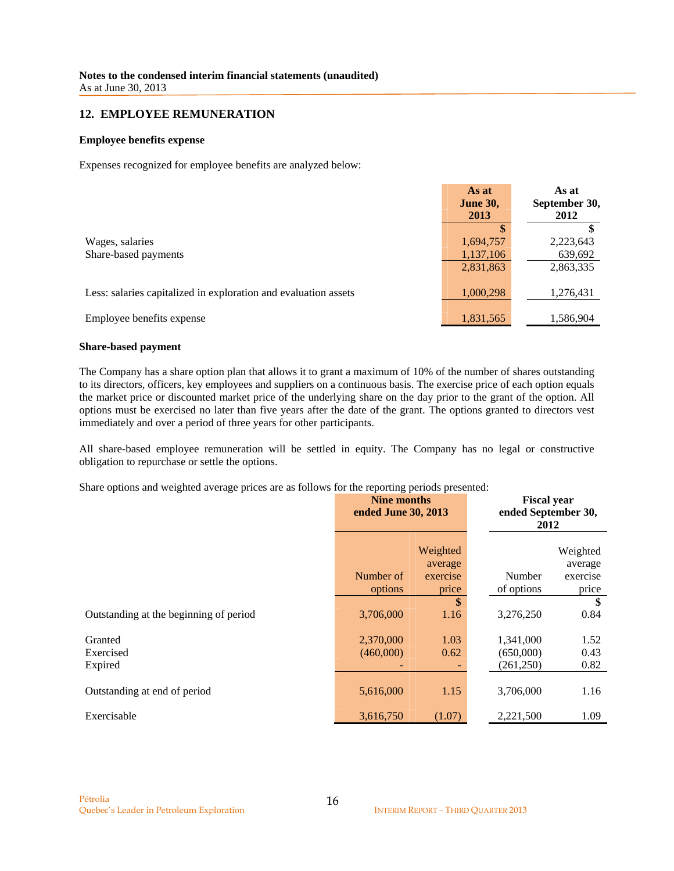#### **12. EMPLOYEE REMUNERATION**

#### **Employee benefits expense**

Expenses recognized for employee benefits are analyzed below:

|                                                                 | As at<br><b>June 30,</b><br>2013    | As at<br>September 30,<br>2012    |
|-----------------------------------------------------------------|-------------------------------------|-----------------------------------|
| Wages, salaries<br>Share-based payments                         | 1,694,757<br>1,137,106<br>2,831,863 | 2,223,643<br>639,692<br>2,863,335 |
| Less: salaries capitalized in exploration and evaluation assets | 1,000,298                           | 1,276,431                         |
| Employee benefits expense                                       | 1,831,565                           | 1,586,904                         |

#### **Share-based payment**

The Company has a share option plan that allows it to grant a maximum of 10% of the number of shares outstanding to its directors, officers, key employees and suppliers on a continuous basis. The exercise price of each option equals the market price or discounted market price of the underlying share on the day prior to the grant of the option. All options must be exercised no later than five years after the date of the grant. The options granted to directors vest immediately and over a period of three years for other participants.

All share-based employee remuneration will be settled in equity. The Company has no legal or constructive obligation to repurchase or settle the options.

Share options and weighted average prices are as follows for the reporting periods presented:

|                                        | Nine months<br>ended June 30, 2013 |                                                | <b>Fiscal year</b><br>ended September 30,<br>2012 |                                                |
|----------------------------------------|------------------------------------|------------------------------------------------|---------------------------------------------------|------------------------------------------------|
|                                        | Number of<br>options               | Weighted<br>average<br>exercise<br>price<br>\$ | Number<br>of options                              | Weighted<br>average<br>exercise<br>price<br>\$ |
| Outstanding at the beginning of period | 3,706,000                          | 1.16                                           | 3,276,250                                         | 0.84                                           |
| Granted<br>Exercised<br>Expired        | 2,370,000<br>(460,000)             | 1.03<br>0.62                                   | 1,341,000<br>(650,000)<br>(261, 250)              | 1.52<br>0.43<br>0.82                           |
| Outstanding at end of period           | 5,616,000                          | 1.15                                           | 3,706,000                                         | 1.16                                           |
| Exercisable                            | 3,616,750                          | (1.07)                                         | 2,221,500                                         | 1.09                                           |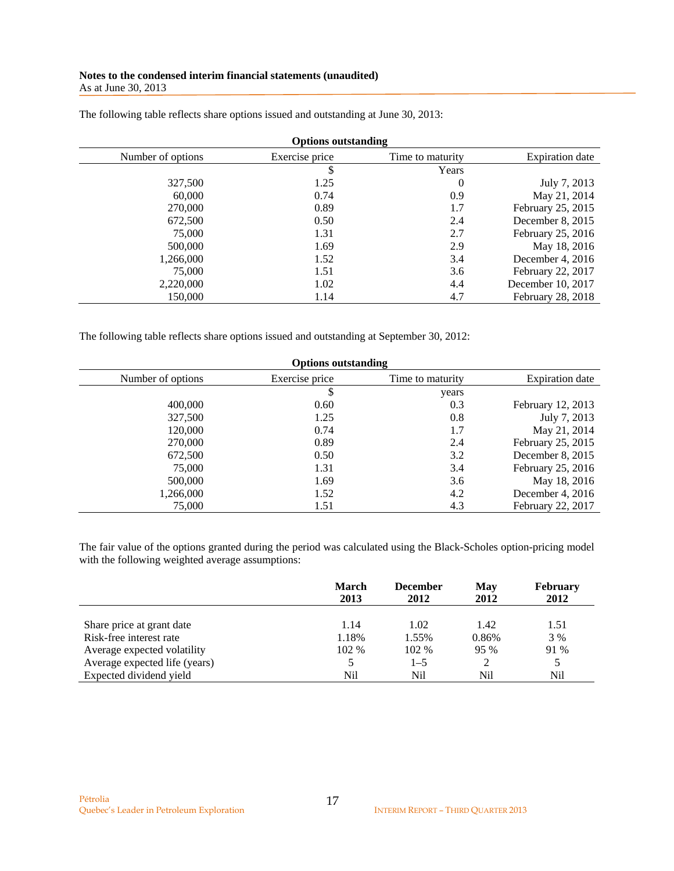#### **Notes to the condensed interim financial statements (unaudited)**  As at June 30, 2013

| <b>Options outstanding</b> |                |                  |                        |  |  |
|----------------------------|----------------|------------------|------------------------|--|--|
| Number of options          | Exercise price | Time to maturity | <b>Expiration</b> date |  |  |
|                            |                | Years            |                        |  |  |
| 327,500                    | 1.25           | $\boldsymbol{0}$ | July 7, 2013           |  |  |
| 60,000                     | 0.74           | 0.9              | May 21, 2014           |  |  |
| 270,000                    | 0.89           | 1.7              | February 25, 2015      |  |  |
| 672,500                    | 0.50           | 2.4              | December 8, 2015       |  |  |
| 75,000                     | 1.31           | 2.7              | February 25, 2016      |  |  |
| 500,000                    | 1.69           | 2.9              | May 18, 2016           |  |  |
| 1,266,000                  | 1.52           | 3.4              | December 4, 2016       |  |  |
| 75,000                     | 1.51           | 3.6              | February 22, 2017      |  |  |
| 2,220,000                  | 1.02           | 4.4              | December 10, 2017      |  |  |
| 150,000                    | 1.14           | 4.7              | February 28, 2018      |  |  |

The following table reflects share options issued and outstanding at June 30, 2013:

The following table reflects share options issued and outstanding at September 30, 2012:

| <b>Options outstanding</b> |                |                  |                        |  |  |
|----------------------------|----------------|------------------|------------------------|--|--|
| Number of options          | Exercise price | Time to maturity | <b>Expiration</b> date |  |  |
|                            | \$             | years            |                        |  |  |
| 400,000                    | 0.60           | 0.3              | February 12, 2013      |  |  |
| 327,500                    | 1.25           | 0.8              | July 7, 2013           |  |  |
| 120,000                    | 0.74           | 1.7              | May 21, 2014           |  |  |
| 270,000                    | 0.89           | 2.4              | February 25, 2015      |  |  |
| 672,500                    | 0.50           | 3.2              | December 8, 2015       |  |  |
| 75,000                     | 1.31           | 3.4              | February 25, 2016      |  |  |
| 500,000                    | 1.69           | 3.6              | May 18, 2016           |  |  |
| 1,266,000                  | 1.52           | 4.2              | December 4, 2016       |  |  |
| 75,000                     | 1.51           | 4.3              | February 22, 2017      |  |  |

The fair value of the options granted during the period was calculated using the Black-Scholes option-pricing model with the following weighted average assumptions:

|                               | March<br>2013 | <b>December</b><br>2012 | <b>May</b><br>2012 | <b>February</b><br>2012 |
|-------------------------------|---------------|-------------------------|--------------------|-------------------------|
| Share price at grant date     | 1.14          | 1.02                    | 1.42               | 1.51                    |
| Risk-free interest rate       | 1.18%         | 1.55%                   | 0.86%              | 3 %                     |
| Average expected volatility   | 102 %         | 102 %                   | 95 %               | 91 %                    |
| Average expected life (years) |               | $1 - 5$                 |                    |                         |
| Expected dividend yield       | Nil           | Nil                     | Nil                | Nil                     |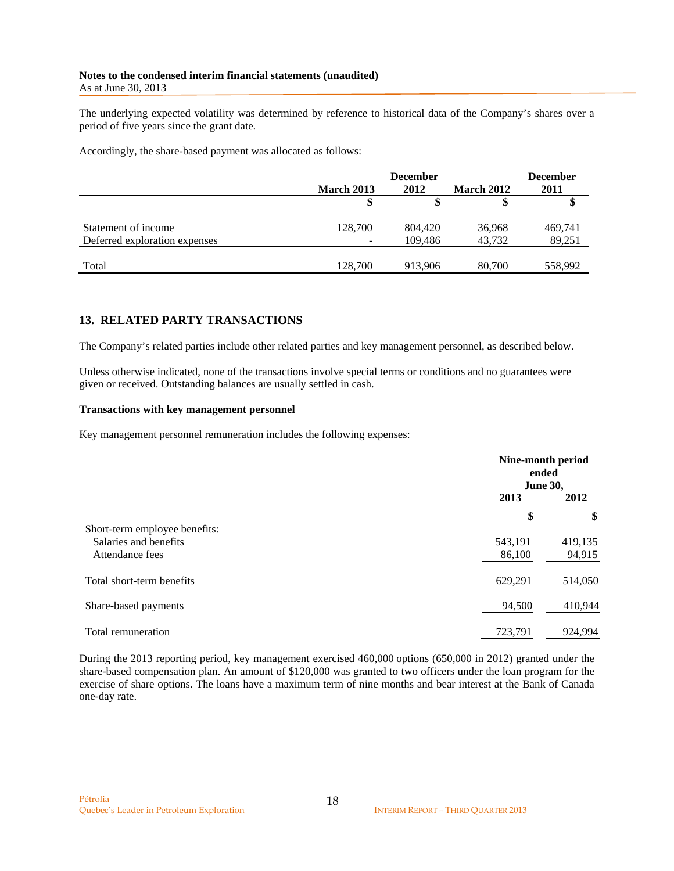#### **Notes to the condensed interim financial statements (unaudited)**  As at June 30, 2013

The underlying expected volatility was determined by reference to historical data of the Company's shares over a period of five years since the grant date.

Accordingly, the share-based payment was allocated as follows:

|                               |                   | <b>December</b> |                   |         |
|-------------------------------|-------------------|-----------------|-------------------|---------|
|                               | <b>March 2013</b> | 2012            | <b>March 2012</b> |         |
|                               |                   |                 |                   |         |
| Statement of income           | 128,700           | 804,420         | 36,968            | 469,741 |
| Deferred exploration expenses |                   | 109,486         | 43,732            | 89,251  |
|                               |                   |                 |                   |         |
| Total                         | 128,700           | 913,906         | 80,700            | 558,992 |

## **13. RELATED PARTY TRANSACTIONS**

The Company's related parties include other related parties and key management personnel, as described below.

Unless otherwise indicated, none of the transactions involve special terms or conditions and no guarantees were given or received. Outstanding balances are usually settled in cash.

#### **Transactions with key management personnel**

Key management personnel remuneration includes the following expenses:

|                               |         | Nine-month period<br>ended<br><b>June 30,</b> |  |
|-------------------------------|---------|-----------------------------------------------|--|
|                               | 2013    | 2012                                          |  |
|                               | \$      | \$                                            |  |
| Short-term employee benefits: |         |                                               |  |
| Salaries and benefits         | 543,191 | 419,135                                       |  |
| Attendance fees               | 86,100  | 94,915                                        |  |
| Total short-term benefits     | 629,291 | 514,050                                       |  |
| Share-based payments          | 94,500  | 410,944                                       |  |
| Total remuneration            | 723,791 | 924,994                                       |  |

During the 2013 reporting period, key management exercised 460,000 options (650,000 in 2012) granted under the share-based compensation plan. An amount of \$120,000 was granted to two officers under the loan program for the exercise of share options. The loans have a maximum term of nine months and bear interest at the Bank of Canada one-day rate.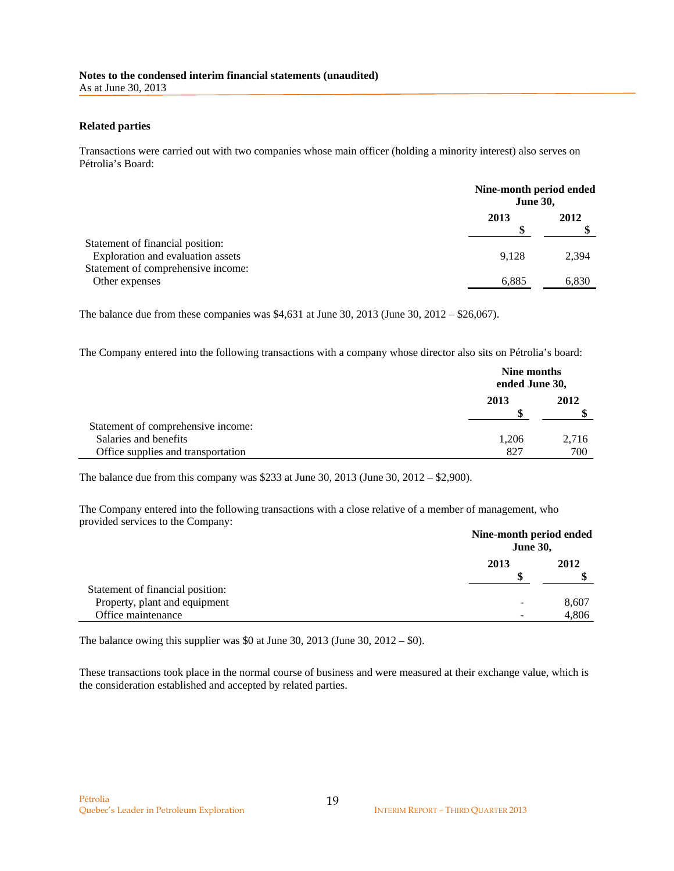#### **Related parties**

Transactions were carried out with two companies whose main officer (holding a minority interest) also serves on Pétrolia's Board:

|                                                                       |       | Nine-month period ended<br><b>June 30,</b> |  |  |
|-----------------------------------------------------------------------|-------|--------------------------------------------|--|--|
|                                                                       | 2013  | 2012                                       |  |  |
| Statement of financial position:<br>Exploration and evaluation assets | 9.128 | 2,394                                      |  |  |
| Statement of comprehensive income:<br>Other expenses                  | 6.885 | 6,830                                      |  |  |

The balance due from these companies was \$4,631 at June 30, 2013 (June 30, 2012 – \$26,067).

The Company entered into the following transactions with a company whose director also sits on Pétrolia's board:

|                                    |       | Nine months<br>ended June 30, |  |  |
|------------------------------------|-------|-------------------------------|--|--|
|                                    | 2013  | 2012                          |  |  |
| Statement of comprehensive income: |       |                               |  |  |
| Salaries and benefits              | 1.206 | 2,716                         |  |  |
| Office supplies and transportation | 827   | 700                           |  |  |

The balance due from this company was \$233 at June 30, 2013 (June 30, 2012 – \$2,900).

The Company entered into the following transactions with a close relative of a member of management, who provided services to the Company:

|                                  |      | Nine-month period ended<br><b>June 30,</b> |  |  |
|----------------------------------|------|--------------------------------------------|--|--|
|                                  | 2013 | 2012                                       |  |  |
| Statement of financial position: |      |                                            |  |  |
| Property, plant and equipment    | -    | 8,607                                      |  |  |
| Office maintenance               |      | 4,806                                      |  |  |

The balance owing this supplier was \$0 at June 30, 2013 (June 30, 2012 – \$0).

These transactions took place in the normal course of business and were measured at their exchange value, which is the consideration established and accepted by related parties.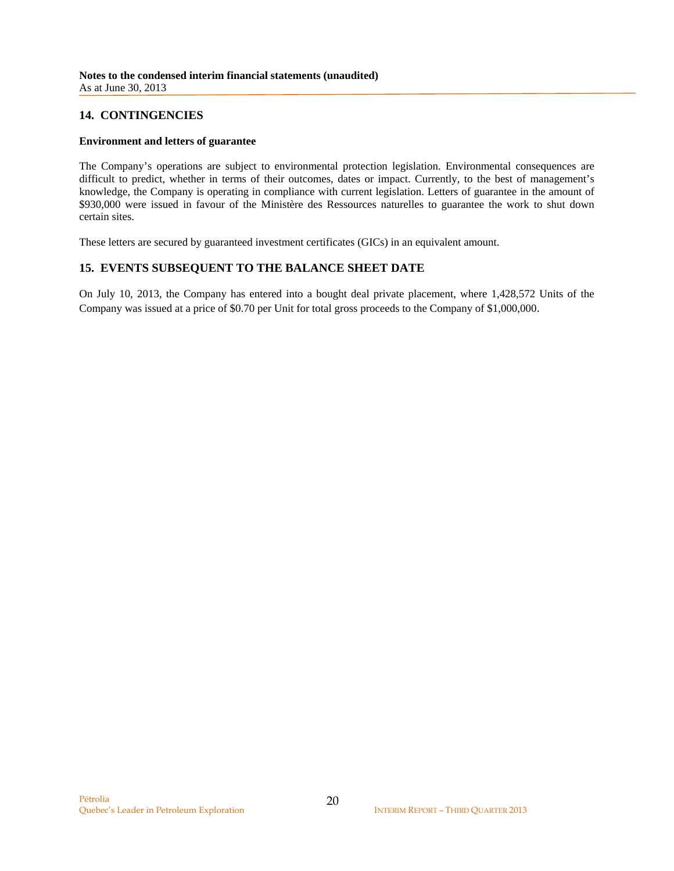## **14. CONTINGENCIES**

#### **Environment and letters of guarantee**

The Company's operations are subject to environmental protection legislation. Environmental consequences are difficult to predict, whether in terms of their outcomes, dates or impact. Currently, to the best of management's knowledge, the Company is operating in compliance with current legislation. Letters of guarantee in the amount of \$930,000 were issued in favour of the Ministère des Ressources naturelles to guarantee the work to shut down certain sites.

These letters are secured by guaranteed investment certificates (GICs) in an equivalent amount.

## **15. EVENTS SUBSEQUENT TO THE BALANCE SHEET DATE**

On July 10, 2013, the Company has entered into a bought deal private placement, where 1,428,572 Units of the Company was issued at a price of \$0.70 per Unit for total gross proceeds to the Company of \$1,000,000.